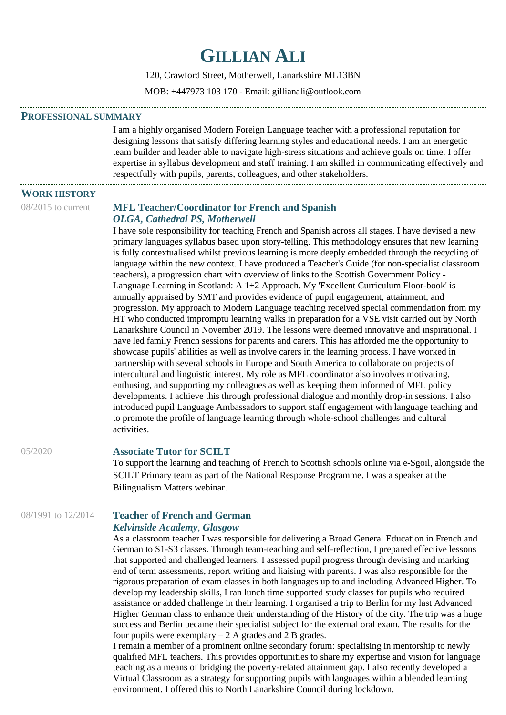# **GILLIAN ALI**

120, Crawford Street, Motherwell, Lanarkshire ML13BN

MOB: +447973 103 170 - Email: gillianali@outlook.com

#### **PROFESSIONAL SUMMARY**

I am a highly organised Modern Foreign Language teacher with a professional reputation for designing lessons that satisfy differing learning styles and educational needs. I am an energetic team builder and leader able to navigate high-stress situations and achieve goals on time. I offer expertise in syllabus development and staff training. I am skilled in communicating effectively and respectfully with pupils, parents, colleagues, and other stakeholders.

## **WORK HISTORY**

#### 08/2015 to current **MFL Teacher/Coordinator for French and Spanish** *OLGA, Cathedral PS, Motherwell*

I have sole responsibility for teaching French and Spanish across all stages. I have devised a new primary languages syllabus based upon story-telling. This methodology ensures that new learning is fully contextualised whilst previous learning is more deeply embedded through the recycling of language within the new context. I have produced a Teacher's Guide (for non-specialist classroom teachers), a progression chart with overview of links to the Scottish Government Policy - Language Learning in Scotland: A 1+2 Approach. My 'Excellent Curriculum Floor-book' is annually appraised by SMT and provides evidence of pupil engagement, attainment, and progression. My approach to Modern Language teaching received special commendation from my HT who conducted impromptu learning walks in preparation for a VSE visit carried out by North Lanarkshire Council in November 2019. The lessons were deemed innovative and inspirational. I have led family French sessions for parents and carers. This has afforded me the opportunity to showcase pupils' abilities as well as involve carers in the learning process. I have worked in partnership with several schools in Europe and South America to collaborate on projects of intercultural and linguistic interest. My role as MFL coordinator also involves motivating, enthusing, and supporting my colleagues as well as keeping them informed of MFL policy developments. I achieve this through professional dialogue and monthly drop-in sessions. I also introduced pupil Language Ambassadors to support staff engagement with language teaching and to promote the profile of language learning through whole-school challenges and cultural activities.

## 05/2020 **Associate Tutor for SCILT**

To support the learning and teaching of French to Scottish schools online via e-Sgoil, alongside the SCILT Primary team as part of the National Response Programme. I was a speaker at the Bilingualism Matters webinar.

# 08/1991 to 12/2014 **Teacher of French and German** *Kelvinside Academy*, *Glasgow*

As a classroom teacher I was responsible for delivering a Broad General Education in French and German to S1-S3 classes. Through team-teaching and self-reflection, I prepared effective lessons that supported and challenged learners. I assessed pupil progress through devising and marking end of term assessments, report writing and liaising with parents. I was also responsible for the rigorous preparation of exam classes in both languages up to and including Advanced Higher. To develop my leadership skills, I ran lunch time supported study classes for pupils who required assistance or added challenge in their learning. I organised a trip to Berlin for my last Advanced Higher German class to enhance their understanding of the History of the city. The trip was a huge success and Berlin became their specialist subject for the external oral exam. The results for the four pupils were exemplary  $-2$  A grades and 2 B grades.

I remain a member of a prominent online secondary forum: specialising in mentorship to newly qualified MFL teachers. This provides opportunities to share my expertise and vision for language teaching as a means of bridging the poverty-related attainment gap. I also recently developed a Virtual Classroom as a strategy for supporting pupils with languages within a blended learning environment. I offered this to North Lanarkshire Council during lockdown.